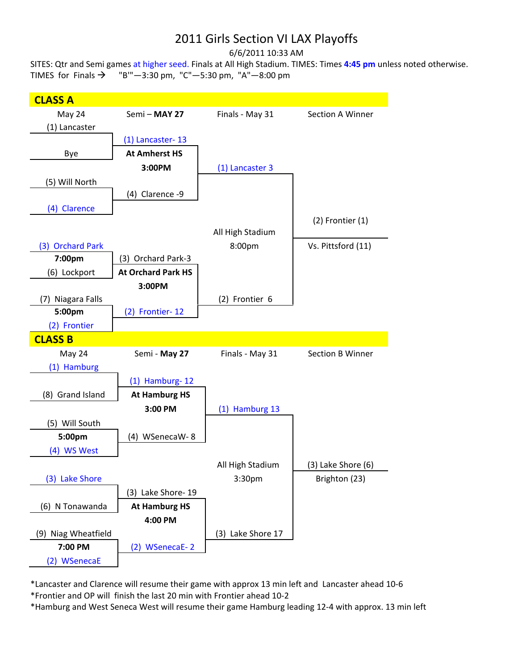## 2011 Girls Section VI LAX Playoffs

6/6/2011 10:33 AM

SITES: Qtr and Semi games at higher seed. Finals at All High Stadium. TIMES: Times **4:45 pm** unless noted otherwise. TIMES for Finals  $\rightarrow$  "B"'-3:30 pm, "C"-5:30 pm, "A"-8:00 pm



\*Lancaster and Clarence will resume their game with approx 13 min left and Lancaster ahead 10‐6 \*Frontier and OP will finish the last 20 min with Frontier ahead 10‐2

\*Hamburg and West Seneca West will resume their game Hamburg leading 12‐4 with approx. 13 min left